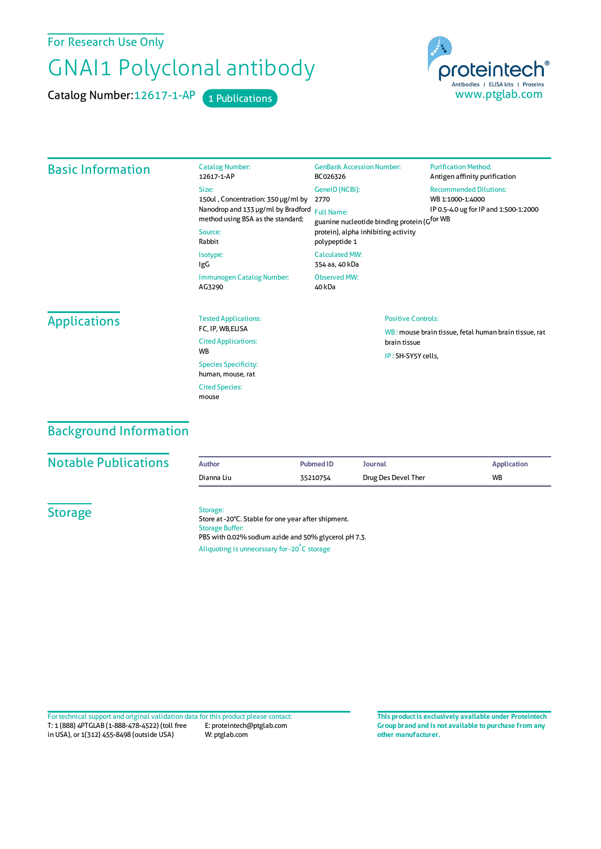For Research Use Only

# GNAI1 Polyclonal antibody

Catalog Number: 12617-1-AP 1 Publications



| <b>Basic Information</b> | <b>Catalog Number:</b><br>12617-1-AP                                                                          | <b>GenBank Accession Number:</b><br>BC026326                             | <b>Purification Method:</b><br>Antigen affinity purification          |  |
|--------------------------|---------------------------------------------------------------------------------------------------------------|--------------------------------------------------------------------------|-----------------------------------------------------------------------|--|
|                          | Size:                                                                                                         | GenelD (NCBI):                                                           | <b>Recommended Dilutions:</b>                                         |  |
|                          | 150ul, Concentration: 350 µg/ml by<br>Nanodrop and 133 µg/ml by Bradford<br>method using BSA as the standard; | 2770<br><b>Full Name:</b><br>guanine nucleotide binding protein (Gfor WB | WB 1:1000-1:4000<br>IP 0.5-4.0 ug for IP and 1:500-1:2000             |  |
|                          | Source:<br>Rabbit                                                                                             | protein), alpha inhibiting activity<br>polypeptide 1                     |                                                                       |  |
|                          | Isotype:<br>IgG                                                                                               | <b>Calculated MW:</b><br>354 aa, 40 kDa                                  |                                                                       |  |
|                          | Immunogen Catalog Number:<br>AG3290                                                                           | Observed MW:<br>40 kDa                                                   |                                                                       |  |
| <b>Applications</b>      | <b>Tested Applications:</b>                                                                                   |                                                                          | <b>Positive Controls:</b>                                             |  |
|                          | FC, IP, WB, ELISA<br><b>Cited Applications:</b>                                                               |                                                                          | WB: mouse brain tissue, fetal human brain tissue, rat<br>brain tissue |  |
|                          | <b>WB</b>                                                                                                     |                                                                          | IP: SH-SY5Y cells,                                                    |  |
|                          | <b>Species Specificity:</b><br>human, mouse, rat                                                              |                                                                          |                                                                       |  |
|                          | <b>Cited Species:</b><br>mouse                                                                                |                                                                          |                                                                       |  |

## Background Information

#### **Notable Publications**

| Author     | Pubmed ID | Journal             | <b>Application</b> |
|------------|-----------|---------------------|--------------------|
| Dianna Liu | 35210754  | Drug Des Devel Ther | <b>WB</b>          |

**Storage** 

#### Storage:

Store at -20°C. Stable for one year after shipment. Storage Buffer: PBS with 0.02% sodium azide and 50% glycerol pH 7.3. Aliquoting is unnecessary for -20<sup>°</sup>C storage

T: 1 (888) 4PTGLAB (1-888-478-4522) (toll free in USA), or 1(312) 455-8498 (outside USA) E: proteintech@ptglab.com W: ptglab.com Fortechnical support and original validation data forthis product please contact: **This productis exclusively available under Proteintech**

**Group brand and is not available to purchase from any other manufacturer.**